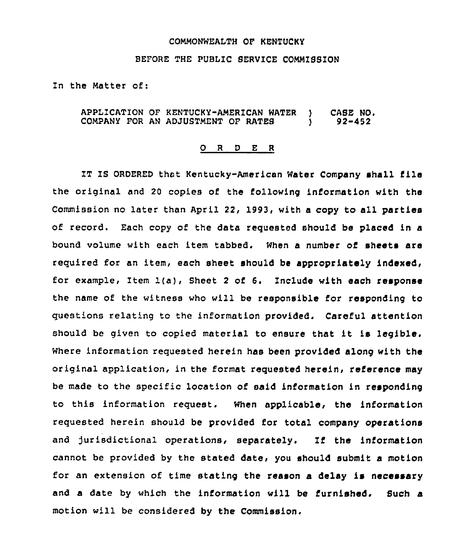## COMMONWEAITH OF KENTUCkY

## BEFORE THE PUBLIC SERVICE COMMISSION

Zn the Matter of:

APPLICATION OF KENTUCKY-AMERICAN WATER )<br>COMPANY FOR AN ADJUSTMENT OF RATES ) COMPANY FOR AN ADJUSTMENT OF RATES CASE NO. 92-452

## 0 <sup>R</sup> <sup>D</sup> E <sup>R</sup>

IT IS ORDERED that Kentucky-American Water Company shall file the original and 20 copies of the following information with the Commission no later than April 22, 1993, with a copy to all parties of record. Each copy of the data requested should be placed in a bound volume with each item tabbed. When a number of sheets are required for an item, each sheet should be appropriately indexed, for example, Item 1{a), Sheet <sup>2</sup> of 6. Include with each response the name of the witness who will be responsible for responding to questions relating to the information provided. Careful attention should be given to copied material to ensure that it is legible. Where information requested herein has been provided along with the original application, in the format requested herein, reference may be made to the specific location of said information in responding to this information request. When applicable, the information requested herein should be provided for total company operations and jurisdictional operations, separately. If the information cannot be provided by the stated date< you should submit a motion for an extension of time stating the reason a delay is necessary and a date by which the information will be furnished. Such a motion will be considered by the Commission.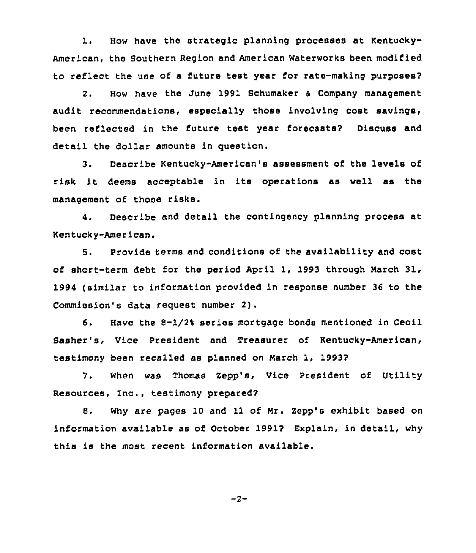1. How have the strategic planning processes at Kentucky-American, the Southern Region and American Waterworks been modified to reflect the use of a future test year for rate-making purposes?

2. How have the June 1991 Schumaker & Company management audit recommendations, especially those involving cost savings, been reflected in the future test year forecasts? Discuss and detail the dollar amounts in question.

3. Describe Kentucky-American's assessment of the levels of risk it deems acceptable in its operations as well as the management of those risks.

4. Describe and detail the contingency planning process at Kentucky-American.

5. Provide terms and conditions of the availability and cost of short-term debt for the period April 1, 1993 through March 31, 1994 (similar to information provided in response number 36 to the Commission's data request number 2).

6. Have the 8-1/2% series mortgage bonds mentioned in Cecil Sasher's, Vice President and Treasurer of Kentucky-American, testimony been recalled as planned on March 1, 1993?

7. When was Thomas Zepp's, Vice President of Utility Resources, Inc., testimony prepared?

8. Why are pages 10 and 11 of Mr. Zepp's exhibit based on information available as of October 1991? Explain, in detail, why this is the most recent information available.

 $-2-$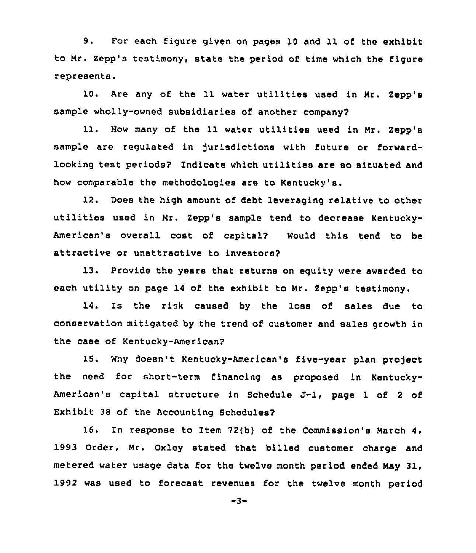9. For each figure given on pages 10 and 11 of the exhibit to Nr. Zepp's testimony, state the period of time which the figure represents.

10. Are any of the 11 water utilities used in Nr. Zepp's sample wholly-owned subsidiaries of another company?

11. How many of the 11 water utilities used in Mr. Zepp's sample are regulated in jurisdictions with future or forwardlooking test periods? Indicate which utilities are so situated and how comparable the methodologies are to Kentucky's.

12. Does the high amount of debt leveraging relative to other utilities used in Nr. Zepp's sample tend to decrease Kentucky-American's overall cost of capital? Would this tend to be attractive or unattractive to investors?

13. Provide the years that returns on equity were awarded to each utility on page 14 of the exhibit to Nr. Zepp's testimony.

14. Is the risk caused by the loss of sales due to conservation mitigated by the trend of customer and sales growth in the case of Kentucky-American?

15. Why doesn't Kentucky-American's five-year plan project the need for short-term financing as proposed in Kentucky-American's capital structure in Schedule J-l, page <sup>1</sup> of <sup>2</sup> of Exhibit 38 of the Accounting Schedules?

16. In response to Item 72(b) of the Commission's March 4, 1993 Order, Nr. Oxley stated that billed customer charge and metered water usage data for the twelve month period ended Nay 31, 1992 was used to forecast revenues for the twelve month period

 $-3-$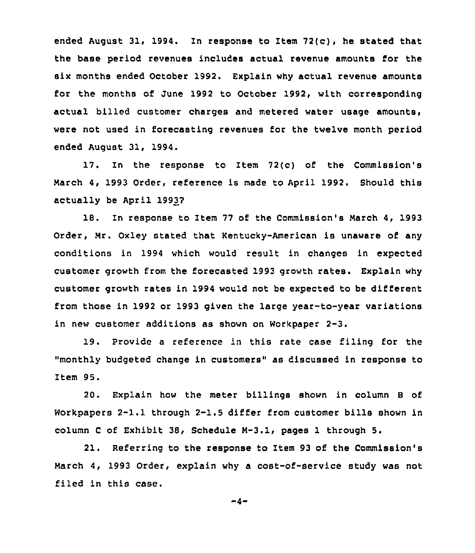ended August 31, 1994. In response to Item 72(c), he stated that the base period revenues includes actual revenue amounts for the six months ended October 1992. Explain why actual revenue amounts for the months of June 1992 to October 1992, with corresponding actual billed customer charges and metered water usage amounts, were not used in forecasting revenues for the twelve month period ended August 31, 1994.

17. In the response to Item 72(c) of the Commission's March 4, 1993 Order, reference is made to April 1992. Should this actually be April 19937

18. In response to Item 77 of the Commission's March 4, 1993 Order, Mr. Oxley stated that Kentucky-American is unaware of any conditions in 1994 which would result in changes in expected customer growth from the forecasted 1993 growth rates. Explain why customer growth rates in 1994 would not be expected to be different from those in 1992 or 1993 given the large year-to-year variations in new customer additions as shown on Workpaper 2-3.

19. Provide <sup>a</sup> reference in this rate case filing for the "monthly budgeted change in customers" as discussed in response to Item 95.

20. Explain how the meter billings shown in column 8 of Workpapers 2-1.1 through 2-1.5 differ from customer bills shown in column <sup>C</sup> of Exhibit 38, Schedule M-3. 1, pages 1 through 5.

21. Referring to the response to Item 93 of the Commission's March 4, 1993 Order, explain why a cost-of-service study was not filed in this case.

 $-4-$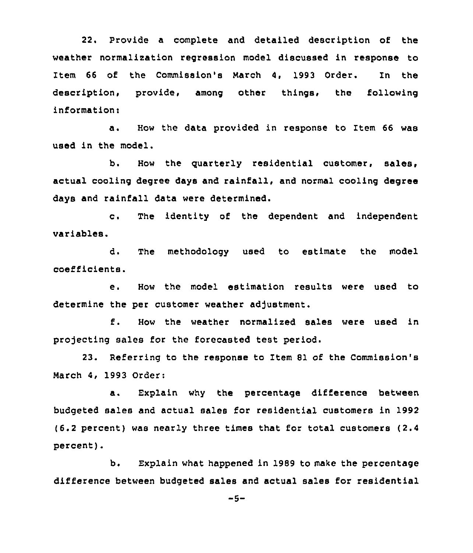22. Provide a complete and detailed description of the weather normalization regression model discussed in response to Item 66 of the Commission's March 4, 1993 Order. In the description, provide, among other things, the following information:

a. How the data provided in response to Item <sup>66</sup> was used in the model.

b. How the quarterly residential customer, sales, actual cooling degree days and rainfall, and normal cooling degree days and rainfall data were determined.

c. The identity of the dependent and independent variables.

d. The methodology used to estimate the model coefficients.

e. How the model estimation results were used to determine the per customer weather adjustment.

f. How the weather normalized sales were used in projecting sales for the forecasted test period.

23. Referring to the response to Item 81 of the Commission's March 4, 1993 Order:

a. Explain why the percentage difference between budgeted sales and actual sales for residential customers in 1992 (6.2 percent) was nearly three times that for total customers (2.4 percent).

b. Explain what happened in 1989 to make the percentage difference between budgeted sales and actual sales for residential

 $-5-$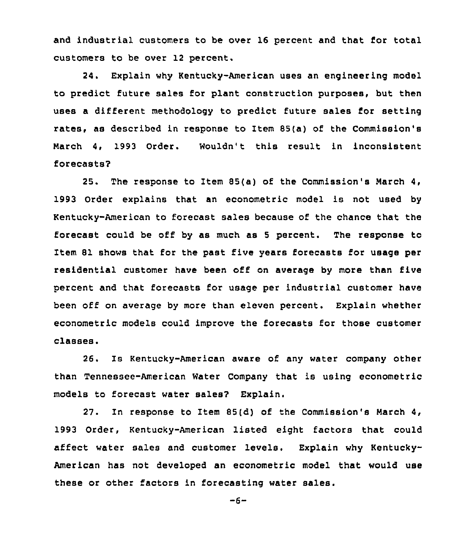and industrial customers to be over 16 percent and that for total customers to be over 12 percent.

24. Explain why Kentucky-American uses an engineering model to predict future sales for plant construction purposes, but then uses a different methodology to predict future sales for setting rates, as described in response to Item 85(a) of the Commission's March 4, 1993 Order. Wouldn't this result in inconsistent forecasts?

25. The response to Item 85(a) of the Commission's March 4, 1993 Order explains that an econometric model is not used by Kentucky-American to forecast sales because of the chance that the forecast could be off by as much as <sup>5</sup> percent. The response to Item 81 shows that for the past five years forecasts for usage per residential customer have been off on average by more than five percent and that forecasts for usage per industrial customer have been off on average by more than eleven percent. Explain whether econometric models could improve the forecasts for those customer classes.

26. Is Kentucky-American aware of any water company other than Tennessee-American Water Company that is using econometric models to forecast water sales7 Explain.

27. In response to Item 85(d) of the Commission's March 4, 1993 Order, Kentucky-American listed eight factors that could affect water sales and customer levels. Explain why Kentucky-American has not developed an econometric model that would use these or other factors in forecasting water sales.

 $-6-$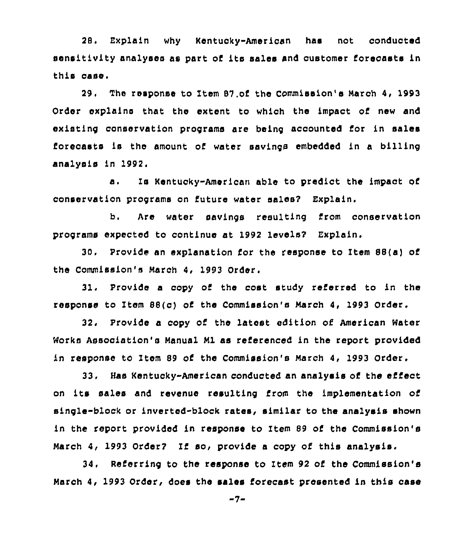28, Explain why Kentucky-American has not conducted sensitivity analysea as part of ita sales and customer forecasts in this case.

29, The response to Item 87.of the COmmiasion's March 4, 1993 Order explains that the extent to which the impact of new and existing conservation programs are being accounted for in sales forecasts is the amount of water savings embedded in a billing analysis in 1992.

a. Is Kentucky-American able to predict the impact of conservation programs on future water sales? Explain,

b. Are water savings resulting from conservation programs expected to continue at 1992 levels? Explain,

30, Provide an explanation for the response to Item 88(a) of the Commission's March 4, 1993 Order.

31. Provide a copy of the cost study referred to in the response to Item 88(c) of the Commission'a March 4, 1993 Order.

32, Provide a copy of the latest edition of American Water Works Association's Manual Ml as referenced in the report provided in response to Item 89 of the Commission's March 4, 1993 order.

33, Has Kentucky-American conducted an analysis of the effect on its sales and revenue resulting from the implementation of single-block or inverted-block rates, similar to the analysis shown in the report provided in response to Item 89 of the Commission's March 4, 1993 Order? If so, provide <sup>a</sup> copy of this analysis.

34, Referring to the response to Item 92 of the Commission's March 4, 1993 Order, does the sales forecast presented in this case

-7-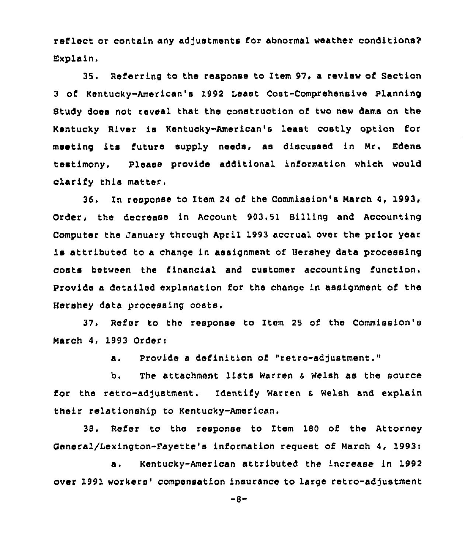reflect or contain any adjustments for abnormal weather conditions7 Explain.

35. Referring to the response to Item 97, a review of Section 3 of Kentucky-American's 1992 Least Cost-Comprehensive Planning Study does not reveal that the construction of two new dame on the Kentucky River is Kentuoky-American's least costly option for meeting its future supply needs, as discussed in Mr. Edens testimony, Please provide additional information which would clarify this matter.

36. In response to Item <sup>24</sup> of the Commission's March 4, 1993, Order, the decrease in Account 903.51 Bi11ing and Accounting Computer the January through April 1993 accrual over the prior year is attributed to a change in assignment of Hershey data processing costs between the financial and customer accounting function. Provide a detailed explanation for the change in assignment of the Hershey data processing costs.

37, Refer to the response to Item 25 of the Commission's March 4, 1993 Orders

a. Provide <sup>a</sup> definition of "retro-adjustment."

b. The attachment lists Warren & Welsh as the source for the retro-adjustment. Identify Warren <sup>4</sup> Welsh and explain their relationship to Kentucky-American.

38. Refer to the response to Item 180 of the Attorney General/Lexington-Fayette's information request of March 4, 1993:

a. Kentucky-American attributed the increase in 1992 over 1991 workers' compensation insurance to large retro-adjustment

 $-8-$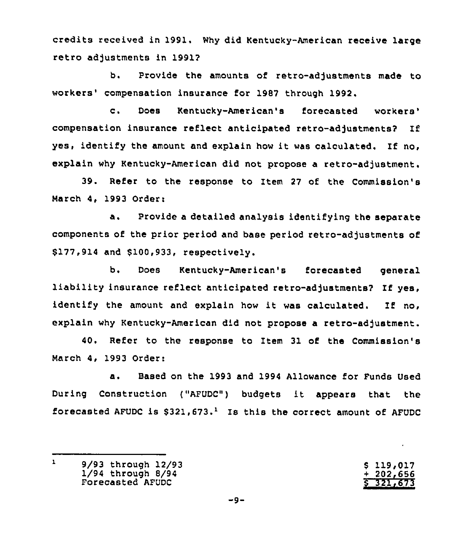credits received in 1991, Why did Kentucky-American receive large retro adjustments in 1991?

b. Provide the amounts of retro-adjustments made to workers' compensation insurance for 1987 through 1992.

c. Does Kentucky-American's forecasted compensation insurance reflect anticipated retro-adjustments? If yes, identify the amount and explain how it was calculated. If no, explain why Kentucky-American did not propose a retro-adjustment.

39. Refer to the response to Item <sup>27</sup> of the Commission's March 4, 1993 Order:

a. Provide <sup>a</sup> detailed analysis identifying the separate components of the prior period and base period retro-adjustments of \$ 177,914 and \$100,933, respectively.

b. Does Kentucky-American's forecasted general liability insurance reflect anticipated retro-adjustments? If yes, identify the amount and explain how it was calculated. If no, explain why Kentucky-American did not propose a retro-adjustment.

40. Refer to the response to Item 31 of the Commission's March 4, 1993 Order:

a. Based on the 1993 and 1994 Allowance for Funds Used During Construction ("AFUDC") budgets it appears that the forecasted AFUDC is  $$321,673.^1$  Is this the correct amount of AFUDC

| Ş | 119,017 |
|---|---------|
| ÷ | 202,656 |
| Σ | 321,673 |

 $\mathbf{1}$ 9/93 through 12/93 1/94 through 8/94 Forecasted AFUDC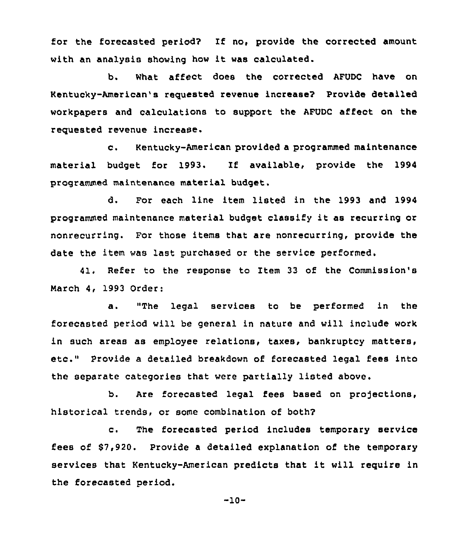for the forecasted period? If no, provide the corrected amount with an analysis showing how it was calculated.

b. What affect does the corrected AFUDC have on Kentucky-American's requested revenue increase? Provide detailed workpapers and calculations to support the AFUDC affect on the reguested revenue increase.

c. Kentucky-American provided <sup>a</sup> programmed maintenance material budget for 1993. If available, provide the 1994 programmed maintenance material budget.

d. For each line item listed in the 1993 and 1994 programmed maintenance material budget classify it as recurring or nonrecurring. For those items that are nonrecurring, provide the date the item was last purchased or the service performed.

41, Refer to the response to Item 33 of the Commission's March 4, 1993 Order:

a. "The legal services to be performed in the forecasted period will be general in nature and will include work in such areas as employee relations, taxes, bankruptcy matters, etc." Provide <sup>a</sup> detailed breakdown of forecasted legal fees into the separate categories that were partially listed above.

b. Are forecasted legal fees based on projections, historical trends, or some combination of both?

c. The forecasted period includes temporary service fees of \$7,920. Provide a detailed explanation of the temporary services that Kentucky-American predicts that it will require in the forecasted period.

-10-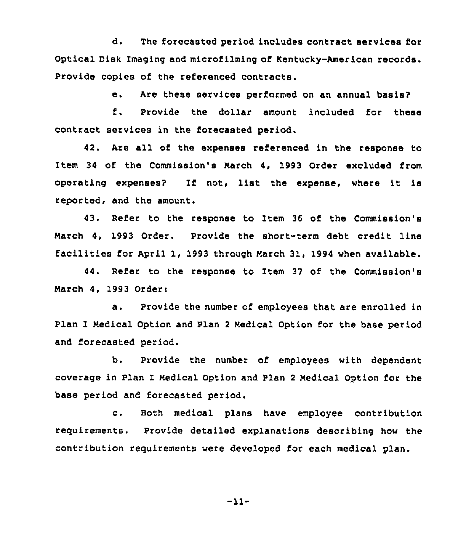d. The forecasted period includes contract services for Optical Disk Imaging and microfilming of Kentucky-American records. Provide copies of the referenced contracts.

e. Are these services performed on an annual basis?

f. Provide the dollar amount included for these contract services in the forecasted period.

42. Are all of the expenses referenced in the response to Item 34 of the Commission's March 4, 1993 Order excluded from operating expenses? If not, list the expense, where it is reported, and the amount.

43. Refer to the response to Item 36 of the Commission's March 4, 1993 Order. provide the short-term debt credit line facilities for April 1, 1993 through March 31, 1994 when available.

44. Refer to the response to Item 37 of the Commission's March 4, 1993 Order:

a. Provide the number of employees that are enrolled in Plan I Medical Option and Plan <sup>2</sup> Medical Option for the base period and forecasted period.

b. Provide the number of employees with dependent coverage in Plan I Medical Option and Plan <sup>2</sup> Medical Option for the base period and forecasted period.

c. Both medical plans have employee contribution requirements. Provide detailed explanations describing how the contribution requirements were developed for each medical plan.

 $-11-$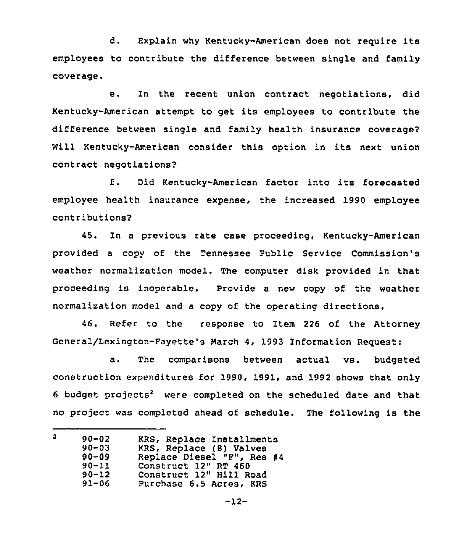d. Explain why Kentucky-American does not require its employees to contribute the difference between single and family coverage.

e. In the recent union contract negotiations, did Kentucky-American attempt to get its employees to contribute the difference between single and family health insurance coverage? Will Kentucky-American consider this option in its next union contract negotiations?

f. Did Kentucky-American factor into its forecasted employee health insurance expense, the increased 1990 employee contributions?

45. In a previous rate case proceeding, Kentucky-American provided a copy of the Tennessee Public Service Commission's weather normalization model. The computer disk provided in that proceeding is inoperable. Provide a new copy of the weather normalization model and a copy of the operating directions.

46. Refer to the response to Item 226 of the Attorney General/Lexington-Fayette's March 4, 1993 Information Request:

a. The comparisons between actual vs. budgeted construction expenditures for 1990, 1991, and 1992 shows that only 6 budget projects<sup>2</sup> were completed on the scheduled date and that no project was completed ahead of schedule. The following is the

| 2 | $90 - 02$ | KRS, Replace Installments  |
|---|-----------|----------------------------|
|   | $90 - 03$ | KRS, Replace (8) Valves    |
|   | $90 - 09$ | Replace Diesel "F", Res #4 |
|   | $90 - 11$ | Construct 12" RT 460       |
|   | $90 - 12$ | Construct 12" Hill Road    |
|   | $91 - 06$ | Purchase 6.5 Acres, KRS    |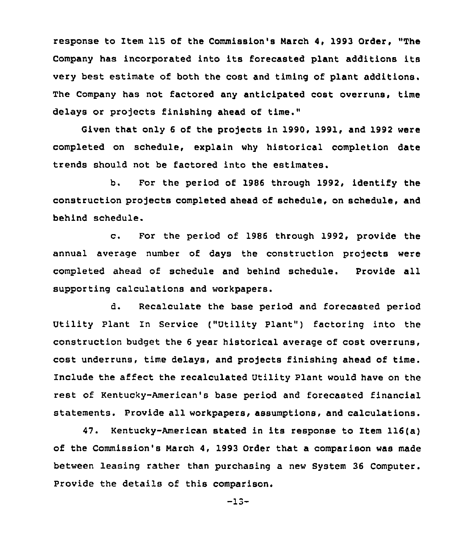response to Item l15 of the Commission's March 4, 1993 Order, "The Company has incorporated into its forecasted plant additions its very best estimate of both the cost and timing of plant additions. The Company has not factored any anticipated cost overruns, time delays or projects finishing ahead of time."

Given that only 6 of the projects in 1990, 1991, and 1992 were completed on schedule, explain why historical completion date trends should not be factored into the estimates.

b. For the period of 1986 through 1992, identify the construction projects completed ahead of schedule, on schedule, and behind schedule.

c. For the period of <sup>1986</sup> through 1992, provide the annual average number of days the construction projects were completed ahead of schedule and behind schedule. Provide all supporting calculations and workpapers.

d. Recalculate the hase period and forecasted period Utility Plant In Service ("Utility Plant") factoring into the construction budget the 6 year historical average of cost overruns, cost underruns, time delays, and projects finishing ahead of time. Include the affect the recalculated Utility Plant would have on the rest of Kentucky-American's base period and forecasted financial statements. Provide all workpapers, assumptions, and calculations.

47. Kentucky-American stated in its response to Item 116(a) of the Commission's March 4, 1993 Order that a comparison was made between leasing rather than purchasing a new System 36 Computer. Provide the details of this comparison.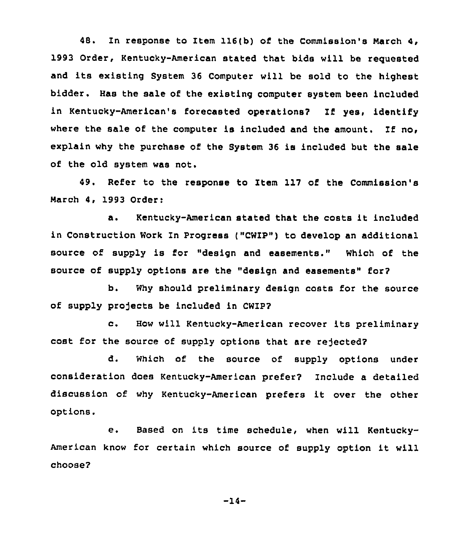48. In response to Item ll6{b) of the Commission's March 4, 1993 Order, Kentucky-American stated that bids will be reguested and its existing System <sup>36</sup> Computer will be sold to the highest bidder. Has the sale of the existing computer system been included in Kentucky-American's forecasted operations? If yes, identify where the sale of the computer is included and the amount. If no, explain why the purchase of the System 36 is included but the sale of the old system was not.

49. Refer to the response to Item 117 of the Commission's March 4, 1993 Order:

a. Kentucky-American stated that the costs it included in Construction Work In Progress ("CWIP") to develop an additional source of supply is for "design and easements." Which of the source of supply options are the "design and easements" for?

b. Why should preliminary design costs for the source of supply pro)ects be included in CWIP?

c. How will Kentucky-American recover its preliminary cost for the source of supply options that are rejected?

d. Which of the source of supply options under consideration does Kentucky-American prefer? Include a detailed discussion of why Kentucky-American prefers it over the other options.

e. Based on its time schedule, when will Kentucky-American know for certain which source of supply option it will choose?

 $-14-$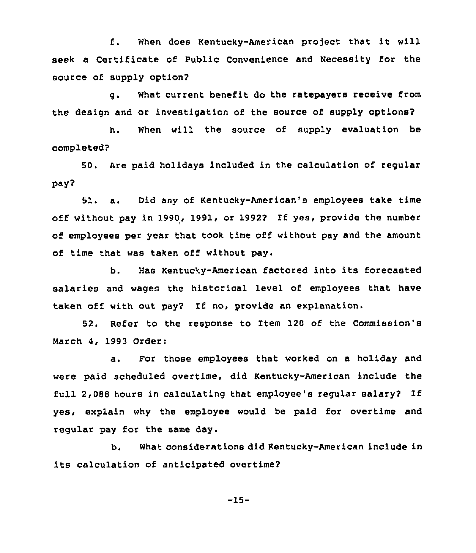f. When does Kentucky-American project that it will seek a Certificate of Public Convenience and Necessity for the source of supply option?

g. What current benefit do the ratepayers receive from the design and or investigation of the source of supply options?

h. When will the source of supply evaluation be completed?

50. Are paid holidays included in the calculation of regular pay?

51. a. Did any of Kentucky-American's employees take time off without pay in 1990, 1991, or 1992? If yes, provide the number of employees per year that took time off without pay and the amount of time that was taken off without pay.

b. Has Kentucky-American factored into its forecasted salaries and wages the historical level of employees that have taken off with out pay? IE no, provide an explanation.

52. Refer to the response to Item 120 of the Commission's March 4, 1993 Order:

a. For those employees that worked on a holiday and were paid scheduled overtime, did Kentucky-American include the full 2,088 hours in calculating that employee's regular salary? If yes, explain why the employee would be paid for overtime and regular pay for the same day.

b. What considerations did Kentucky-American include in its calculation of anticipated overtime?

-15-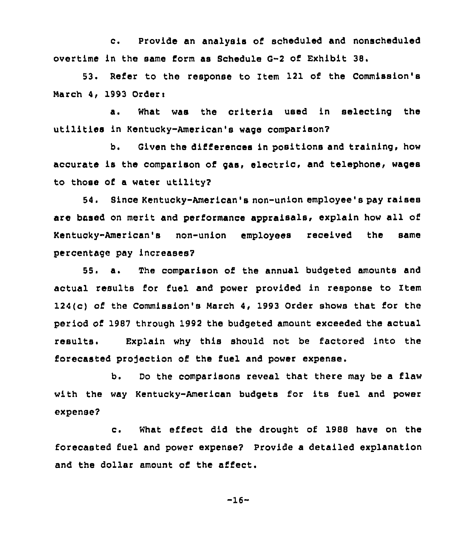c. Provide an analysis of scheduled and nonscheduled overtime in the same form as Schedule G-2 of Exhibit 38.

53. Refer to the response to Item 121 of the Commission's March 4, 1993 Order:

a. What was the criteria used in selecting the utilities in Kentucky-American's wage comparison?

b. Given the differences in positions and training, how accurate is the comparison of gas, electric, and telephone, wages to those of a water utility?

54. Since Kentucky-American's non-union employee's pay raises are based on merit and performance appraisals, explain how all of Kentucky-American's non-union employees received the same percentage pay increases?

<sup>55</sup> <sup>~</sup> a. The comparison of the annual budgeted amounts and actual results for fuel and power provided in response to Item 124(c) of the Commission's March 4, 1993 Order shows that for the period of 1987 through 1992 the budgeted amount exceeded the actual results. Explain why this should not be factored into the forecasted projection of the fuel and power expense.

b. Do the comparisons reveal that there may be a flaw with the way Kentucky-American budgets for its fuel and power expense?

c. What effect did the drought of 1988 have on the forecasted fuel and power expense? Provide a detailed explanation and the dollar amount of the affect.

 $-16-$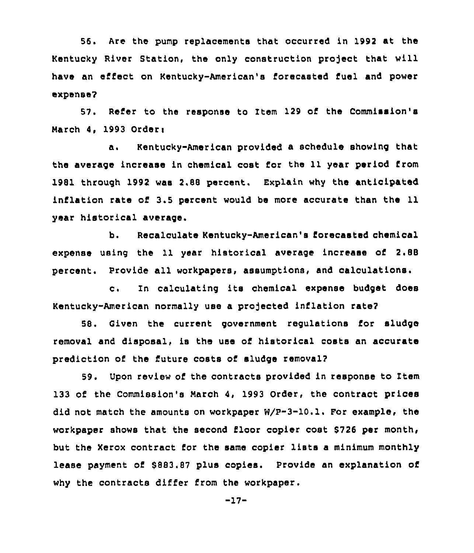56. Are the pump replacements that occurred in 1992 at the Kentucky River Station, the only construction project that will have an effect on Kentucky-American's forecasted fuel and power expense?

57. Reier to the response to Item 129 of the Commission's March 4, 1993 Order:

a. Kentucky-American provided a schedule showing that the average increase in chemical cost for the 11 year period from 1981 through 1992 was 2.88 percent. Explain why the anticipated inflation rate of 3.5 percent would be more accurate than the ll year historical average.

b. Recalculate Kentucky-American's forecasted chemical expense using the 11 year historical average increase of 2.88 percent. Provide all workpapers, assumptions, and calculations.

c. In calculating its chemical expense budget does Kentucky-American normally use a projected inflation rate?

58. Given the current government regulations for sludge removal and disposal, is the use of historical costs an accurate prediction of the future costs of sludge removal?

59. Upon review of the contracts provided in response to Item 133 of the Commission's March 4, 1993 Order, the contract prices did not match the amounts on workpaper W/P-3-10.1. For example, the workpaper shows that the second floor copier cost \$726 per month, but the Xerox contract for the same copier lists <sup>a</sup> minimum monthly lease payment of 8883.87 plus copies. Provide an explanation of why the contracts differ from the workpaper.

 $-17-$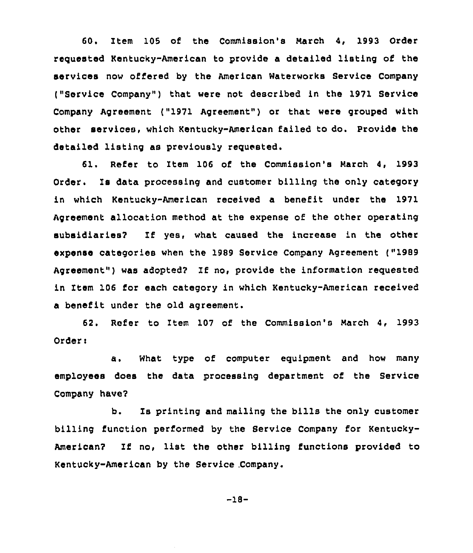60. Item 105 of the Commission's March 4, 1993 Order requested Kentucky-American to provide a detailed listing of the services now offered by the American Waterworks Service Company ("Service Company" ) that were not described in the 1971 Service Company Agreement ("1971 Agreement") or that were grouped with other services, which Kentucky-American failed to do. Provide the detailed listing as previously requested.

61. Refer to Item 106 of the Commission's March 4, 1993 Order. Is data processing and customer billing the only category in which Kentucky-American received a benefit under the 1971 Agreement allocation method at the expense of the other operating subsidiaries? If yes, what caused the increase in the other expense categories when the 1989 Service Company Agreement ("1989 Agreement") was adopted? If no, provide the information requested in Item 106 for each category in which Kentucky-American received a benefit under the old agreement.

62. Refer to Item 107 of the Commission's March 4, 1993 Order:

a. What type of computer equipment and how many employees does the data processing department of the Service Company have?

b. Is printing and mailing the bills the only customer billing function performed by the Service Company for Kentucky-American? If no, list the other billing functions provided to Kentucky-American by the Service, Company.

-18-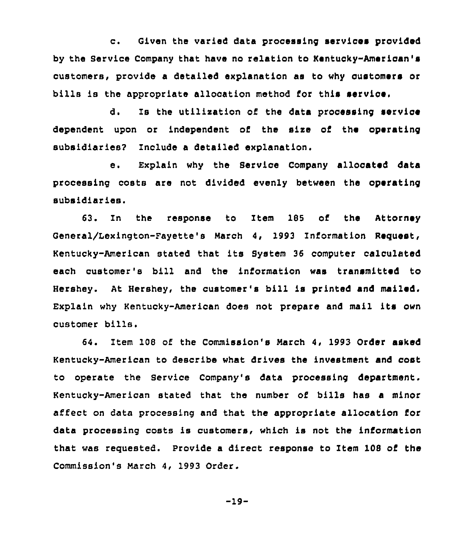c. Given the varied data processing services provided by the Service Company that have no relation to Kentucky-American's customers, provide a detailed explanation ae to why customers or bills is the appropriate allocation method for this service.

d. Is the utilization of the data processing service dependent upon or independent of the size of the operating subsidiaries? Include a detailed explanation.

e. Explain why the Service Company allocated data processing costs are not divided evenly between the operating subsidiaries.

63. In the response to Ztem 185 of the Attorney General/Lexington-Fayette's March 4, 1993 Information Request, Kentucky-American stated that its System <sup>36</sup> computer calculated each customer's bill and the information was transmitted to Hershey. At Hershey, the customer's bill is printed and mailed. Explain why Kentucky-American does not prepare and mail its own customer bills.

64. Item 108 of the Commission's March 4, 1993 Order asked Kentucky-American to describe what drives the investment and cost to operate the Service Company's data processing department. Kentucky-American stated that the number of bills has a minor affect on data processing and that the appropriate allocation for data processing costs is customers, which is not the information that was requested. provide a direct response to Item 108 of the Commission's Narch 4, 1993 Order.

 $-19-$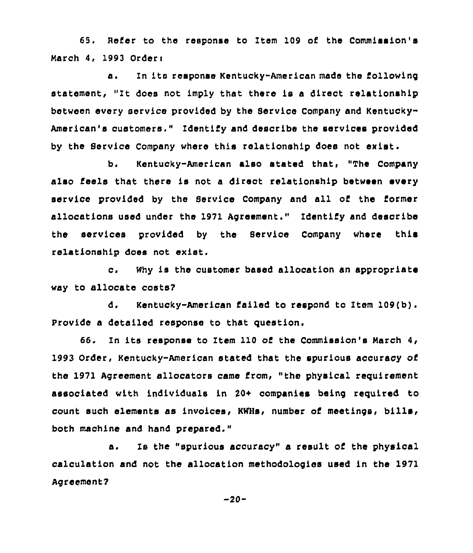65. Aefer to the response to Item 109 oE the Commission's March 4, 1993 Orders

a. In its response Kentucky-American made the following statement, "It does not imply that there is <sup>a</sup> direct relationship between every service provided by the Service Company and Kentucky-American's customers." Identify and describe the services provided by the Service Company where this relationship does not exist.

b. Kentucky-American also stated that, "The Company also teals that there is not <sup>a</sup> direot relationship between every service provided by the Service Company and all of the former allocations used under the 1971 Agreement." Identity and describe the services provided by the Bervice Company where this relationship does not exist.

c. Why is the customer based allocation an appropriate way to allocate costs?

d. Kentucky-American tailed to respond to Item 109(b) <sup>~</sup> provide a detailed response to that question.

66. In its response to Item 110 of the Commission's March  $4$ , 1993 Order, Kentucky-American stated that the spurious accuracy ot the 1971 Agreement allocators came trom, "the physical requirement associated with individuals in 20+ companies being required to count such elements as invoices, KMHs, number ot meetings, bills, both machine and hand prepared."

a. Is the "spurious accuracy" a result of the physical calculation and not the allocation methodologies used in the 1971 Agreement?

-20-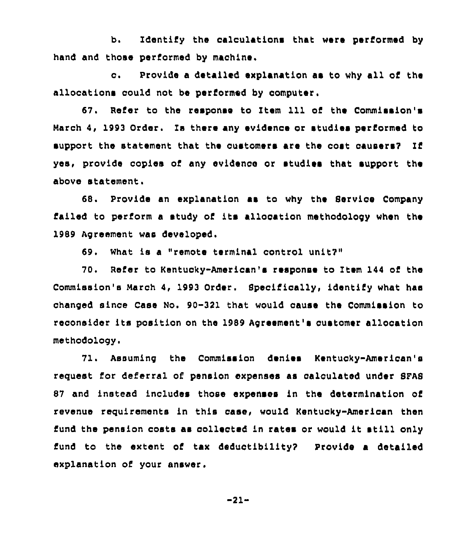b. Identify the calculations that were performed by hand and those performed by machine,

c. Provide <sup>a</sup> detailed explanation as to why all of the allocatione oould not be performed by computer.

67. Refer to the response to Item 111 of the Commission's March 4, 1993 Order. Is there any evidence or studies performed to support the statement that the customers are the cost caueers? If yes, provide copies of any evidence or studies that support the above statement.

68. Provide an explanation as to why the Service Company failed to perform <sup>a</sup> study of its allocation methodology when the 1989 Agreement was developed,

69. What is <sup>a</sup> "remote terminal control unit?"

70. Refer to Kentucky-American's response to Item 144 of the Commission's March 4, 1993 Order. Specifically, identify what hae changed since Case No. 90-321 that would cause the Commission to reconsider its position on the 1989 Agreement's customer allocation methodology.

71. Assuming the Commission denies Kentucky-American's request for deferral of pension expenses as calculated under SFAS 87 and instead includes those expenses in the determination of revenue requirements in this case, would Kentucky-American then fund the pension costs as collected in rates or would it still only fund to the extent of tax deductibility? Provide a detailed explanation of your answer.

 $-21-$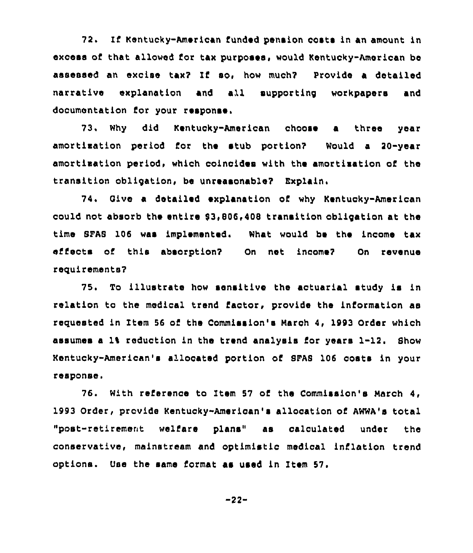72. If Kentucky-American funded pension costa in an amount in excess of that allowed for tax purposes, would Kentucky-American be assessed an excise tax? If so, how much? provide a detailed narrative explanation and all supportinq workpapers and documentation Cor your response.

73. Why did Kentucky-American choose a three year amortisation period Cor the stub portion? Would a 20-year amortisation period, which coincides with the amortisation of the transition obligation, be unreasonable? Explain.

74. Oive a detailed explanation of why Kentucky-American could not absorb the entire 93,806,408 transition obligation at the time SFAS 106 was implemented, What would be the income tax eCfects of this absorption? On net income'? On revenue requirements?

75. To illustrate how sensitive the actuarial study is in relation to the medical trend factor, provide the information as requested in Item 56 of the Commission's March 4, 1993 Order which assumes a 1% reduction in the trend analysis for years 1-12. Show Kentucky-American's allocated portion of SFAS 106 costs in your response,

76. With reference to Item 57 of the Commission's March 4, 1993 Order, prcvide Kentucky-American' allocation of AWWA's total "post-retirement welfare plans" as calculated under the conservative, mainstream and optimistic medical inflation trend options. Use the same format as used in Item 57.

-22-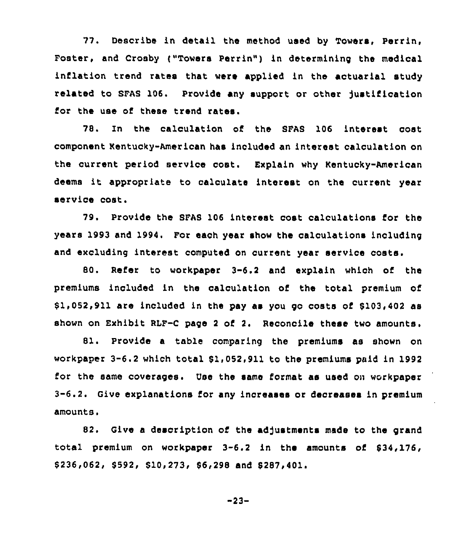77. Describe in detail the method used by Towers, Perrin, Foster, and Crosby ("Towers Perrin") in determining the medical inflation trend rates that were applied in the actuarial study related to SFAS 106. Provide any support or other Justification for the use of these trend rates.

78. In the calculation of the SFAS 106 interest cost component Kentucky-American has included an interest calculation on the current period service cost. Explain why Kentucky-American deems it appropriate to calculate interest on the current year service cost.

79. Provide the SFAS 106 interest cost calculations for the years 1993 and 1994. For each year show the calculations including and excluding interest computed on current year service costs.

80. Refer to workpaper 3-6.2 and explain which of the premiums included in the calculation of the total premium of \$ 1,052,911 are included in the pay as you go coats of \$103,402 as shown on Exhibit RLF-C page <sup>2</sup> of 2. Reconcile these two amounts.

81. Provide a table comparing the premiums as shown on workpaper 3-6.2 which total \$1,052,911 to the premiums paid in 1992 for the same coverages. Use the same format as used on workpaper 3-6.2. Give explanations for any increases or decreases in premium amounts.

82. Give a description of the adjustments made to the grand total premium on workpaper  $3-6.2$  in the amounts of  $$34,176,$ \$ 236,062, \$ 592, \$10,273, \$6,298 and \$ 287,401.

-23-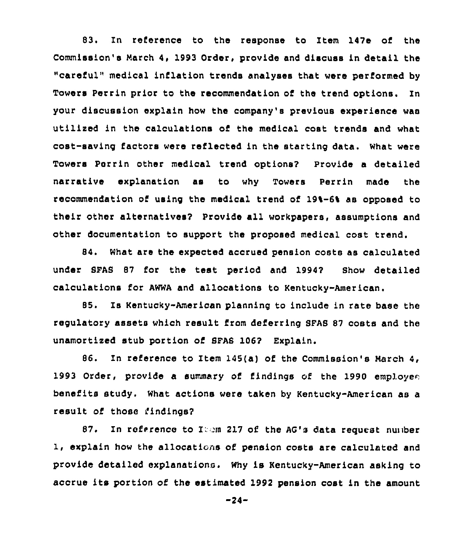83. In reference to the response to Item 147e of the Commission's March 4, 1993 Order, provide and discuss in detail the "careful" medical inflation trends analyses that were performed by Towers Perrin prior to the recommendation of the trend options. In your discussion explain how the company's previous experience wae utilized in the calculations of the medical cost trends and what cost-saving factors were reflected in the starting data. What were Towers Porrin other medical trend options? Provide a detailed narrative explanation as to why Towers Perrin made the recommendation of using the medical trend of 19%-6% as opposed to their other alternatives? Provide all workpapers, assumptions and other documentation to support the proposed medical cost trend.

84. What are the expected accrued pension costs as calculated under SPAS 87 for the test period and 1994? Show detailed calculations for AWWA and allocations to Kentucky-American.

85, Is Kentucky-American planning to include in rate base the regulatory assets which result from deferring SPAS 87 costs and the unamortized stub portion of SPAS 106? Explain.

86. Zn reference to Item 145(a) of the Commission's March 4, 1993 Order, provide a summary of iindings of the 1990 employee benefits study. What actions were taken by Kentucky-American as a result of those findings?

87. In reference to Item 217 of the AG's data request number 1, explain how the allocations of pension costs are calculated and provide detailed explanations. Why is Kentucky-American asking to accrue its portion of the estimated 1992 pension cost in the amount

-24-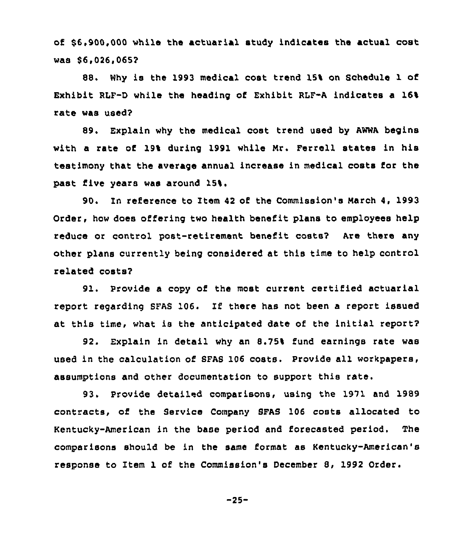of 86,900,000 while the actuarial study indicates the actual cost was \$6,026,065?

88. Why is the 1993 medical cost trend 151 on Schedule 1 of Exhibit RLF-D while the heading of Exhibit RLF-A indicates a 16k rate was used'

89. Explain why the medical cost trend used by AWWA begins with a rate of 19% during 1991 while Nr. Farrell states in his testimony that the average annual increase in medical costs for the past five years was around 151.

90. In reference to Item 42 of the Commission's March 4, 1993 Order, how does offering two health benefit plans to employees help reduce or control post-retirement benefit costs? Are there any other plans currently being considered at this time to help control related costs?

91. Provide a copy of the most current certified actuarial report regarding SFAS 106. If there has not been <sup>a</sup> report issued at this time, what is the anticipated date of the initial report?

92. Explain in detail why an 8.75% fund earnings rate was used in the calculation of SFAS 106 costs. Provide all workpapers, assumptions and other documentation to support this rate.

93. Provide detailed comparisons, using the 1971 and 1989 cont acts, of the Service Company SFAS 106 costs allocated to Kentucky-American in the base period and forecasted period. The comparisons should be in the same format as Kentucky-American's response to Item 1 of the Commission's December 8, 1992 Order.

 $-25-$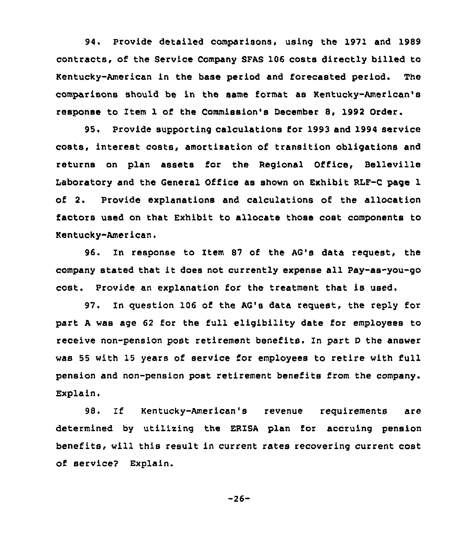94. Provide detailed comparisons, using the 1971 and 1989 contracts, of the Service Company SFAS 106 costs directly billed to Kentucky-American in the base period and forecasted period. The comparisons should be in the same format as Kentucky-American's response to Item 1 of the Commission's December 8, 1992 Order.

95. Provide supporting calculations for 1993 and 1994 service costs, interest costs, amortixation of transition obligations and returns on plan assets for the Regional Office, Belleville Laboratory and the General Office as shown on Exhibit RLF-C page 1 of 2. Provide explanations and calculations of the allocation factors used on that Exhibit to allocate those cost components to Kentucky-American.

96. In response to Item 87 of the AG's data request, the company stated that it does not currently expense all Pay-as-you-go cost. Provide an explanation for the treatment that is used.

97. In question 106 of the AG's data request, the reply for part <sup>A</sup> was age 62 for the full eligibility date for employees to receive non-pension post retirement benefits. In part <sup>D</sup> the answer was 55 with 15 years of service for employees to retire with full pension and non-pension post retirement benefits from the company. Explain.

98. If Kentucky-American's revenue requirements are determined by utiliring the ERISA plan for accruing pension benefits, will this result in current rates recovering current cost of service? Explain.

-26-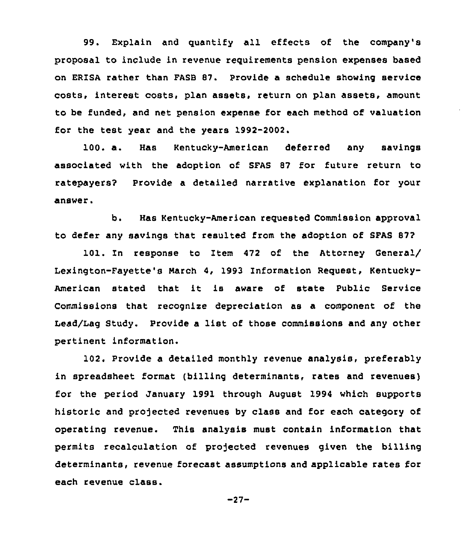99. Explain and quantify all effects of the company's proposal to include in revenue requirements pension expenses based on ERISA rather than FASB 87. Provide a schedule showing service costs, interest costs, plan assets, return on plan assets, amount to be funded, and net pension expense for each method of valuation for the test year and the years 1992-2002.

100. a. Has Kentucky-American deferred any savings associated with the adoption of SFAS 87 for future return to ratepayers2 Provide a detailed narrative explanation for your answer.

b. Has Kentucky-American requested Commission approval to defer any savings that resulted from the adoption of SFAS 877

101. In response to Item 472 of the Attorney General/ Lexington-Fayette's Narch 4, 1993 Information Request, Kentucky-American stated that it is aware of state Public Service Commissions that recognise depreciaticn as a component of the Lead/Lag Study. Provide a list of those commissions and any other pertinent information.

102. Provide a detailed monthly revenue analysis, preferably in spreadsheet format (billing determinants, rates and revenues) for the period January 1991 through August 1994 which supports historic and projected revenues by class and for each category of operating revenue. This analysis must contain information that permits recalculation of projected revenues given the billing determinants, revenue forecast assumptions and applicable rates for each revenue class.

 $-27-$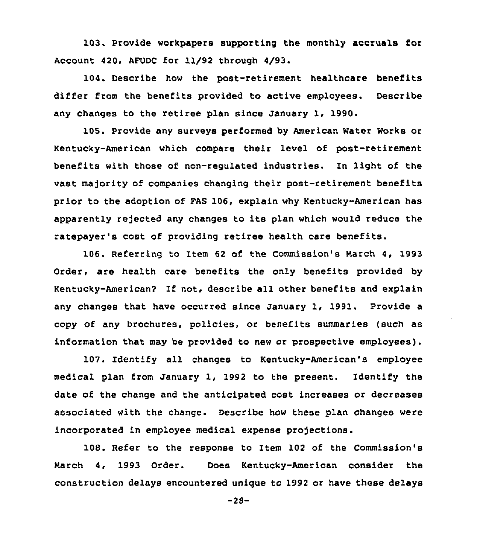103. Provide workpapers supporting the monthly accruals for Account 420, AFUDC for 11/92 through 4/93.

104. Describe how the past-retirement healthcaxe benefits differ from the benefits provided to active employees. Describe any changes to the retiree plan since January 1, 1990.

105. Provide any surveys performed by American Water Works or Kentucky-American which compare their level of post-retirement benefits with those of non-regulated industries. In light of the vast majority of companies changing their post-retirement benefits prior to the adoption of FAS 106, explain why Kentucky-American has apparently rejected any changes to its plan which would reduce the ratepayer's cost of providing retiree health care benefits.

106. Referring to Item 62 of the Commission's March 4, 1993 Order, are health care benefits the only benefits provided by Kentucky-American? If not, describe all other benefits and explain any changes that have occurred since January 1, 1991. Provide a copy of any brochures, policies, or benefits summaries (such as information that may be provided to new or prospective employees).

107. Identify all changes to Kentucky-American's employee medical plan from January 1, 1992 to the present. Identify the date of the change and the anticipated cost increases or decreases associated with the change. Describe how these plan changes were incorporated in employee medical expense projections.

108. Refer to the response to Item 102 of the Commission's March 4, 1993 Order. Does Kentucky-American consider the construction delays encountered unique to 1992 or have these delays

-28-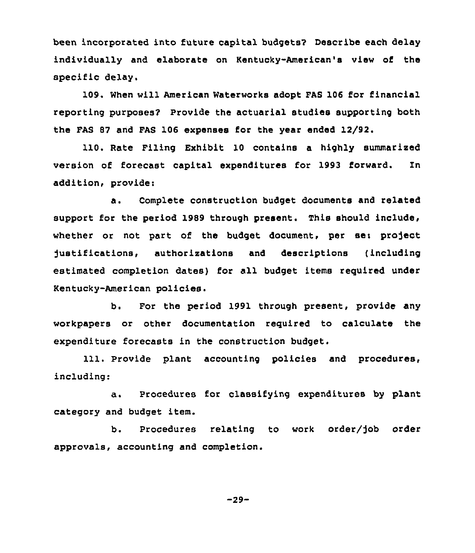been incorporated into future capital budgets? Describe each delay individually and elaborate on Kentucky-American's view of the specific delay.

109. When will American Waterworks adopt FAS 106 for financial reporting purposes? Provide the actuarial studies supporting both the FAS 87 and FAS 106 expenses for the year ended 12/92.

110. Rate Filing Exhibit 10 contains a highly summarized version of forecast capital expenditures for 1993 forward. In addition, provide:

a. Complete construction budget documents and related support for the period 1989 through present. This should include, whether or not part of the budget document, per se: project Justifications, authorizations and descriptions (including estimated completion dates) for all budget items required under Kentucky-American policies.

b. For the period 1991 through present, provide any workpapers or other documentation required to calculate the expenditure forecasts in the construction budget.

111. Provide plant accounting policies and procedures, including:

a. Procedures for classifying expenditures by plant category and budget item.

b. Procedures relating to work order/fob order approvals, accounting and completion.

-29-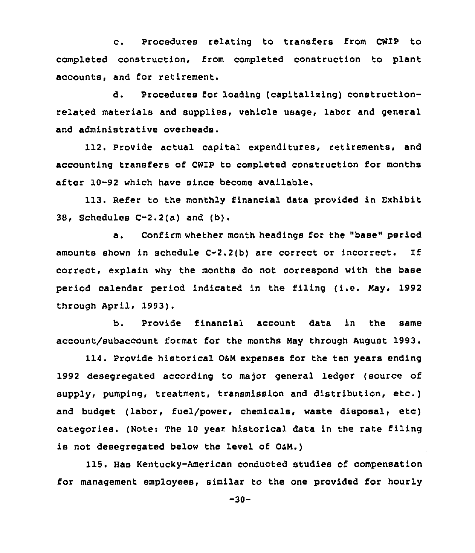c. Procedures relating to transfers from CWIP to completed construction, from completed construction to plant accounts, and for retirement.

d. Procedures for loading (capitalising) constructionrelated materials and supplies, vehicle usage, labor and general and administrative overheads.

112. Provide actual capital expenditures, retirements, and accounting transfers of CWIP to completed construction for months after 10-92 which have since become available,

113. Refer to the monthly financial data provided in Exhibit 38, Schedules  $C-2$ .  $2(a)$  and  $(b)$ .

a. Confirm whether month headings for the "base" period amounts shown in schedule  $C=2.2(b)$  are correct or incorrect. If correct, explain why the months do not correspond with the base period calendar period indicated in the filing (i.e. Nay, <sup>1992</sup> through April, 1993).

b. Provide financial account data in the same account/subaccount format for the months Nay through August 1993.

114. provide historical OaN expenses for the ten years ending 1992 desegregated according to major general ledger (source of supply, pumping, treatment, transmission and distribution, etc.) and budget (labor, fuel/power, chemicals, waste disposal, etc) categories. (Note: The 10 year historical data in the rate filing is not desegregated below the level of OGM.)

115. Has Kentucky-American conducted studies of compensation for management employees, similar to the one provided for hourly

-30-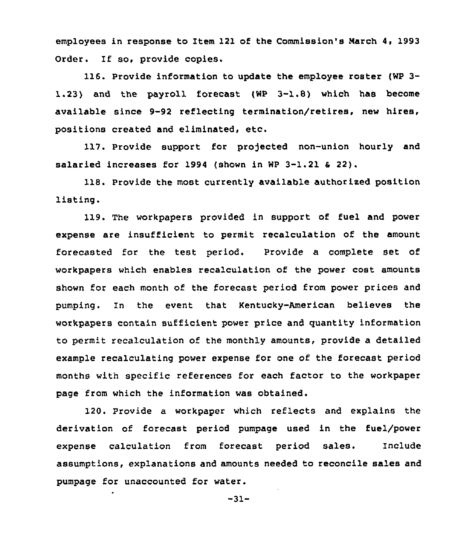employees in response to Item 121 of the Commission's March 4, 1993 Order. If so, provide copies.

116. Provide information to update the employee roster (WP 3- 1.23) and the payroll forecast (WP 3-1.8) which has become available since 9-92 reflecting termination/retires, new hires, positions created and eliminated, etc.

117. Provide support for projected non-union hourly and salaried increases for 1994 (shown in WP 3-1.21 <sup>6</sup> 22).

118. Provide the most currently available authorised position listing.

119. The workpapers provided in support of fuel and power expense are insufficient to permit recalculation of the amount forecasted for the test period. Provide a complete set of workpapers which enables recalculation of the power cost amounts shown for each month of the forecast period from power prices and pumping. In the event that Kentucky-American believes the workpapers contain sufficient power price and quantity information to permit recalculation of the monthly amounts, provide a detailed example recalculating power expense for one of the forecast period months with specific references for each factor to the workpaper page from which the information was obtained.

120. Provide a workpaper which reflects and explains the derivation of forecast period pumpage used in the fuel/power expense calculation from forecast period sales. Include assumptions, explanations and amounts needed to reconcile sales and pumpage for unaccounted for water.

-31-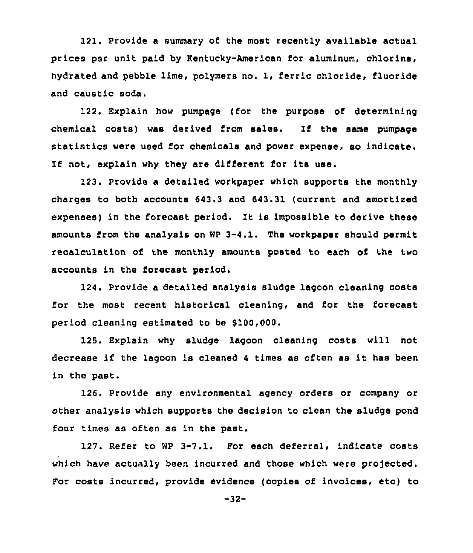121. Provide a summary of the most recently available actual prices per unit paid by Kentucky-American for aluminum, chlorine, hydrated and pebble lime, polymers no. 1, ferric chloride, fluoride and caustic soda.

122. Explain how pumpage (for the purpose of determining chemical costs) was derived from sales. If the same pumpage statistics were used for chemicals and power expense, so indicate. If not, explain why they are difierent for ite use.

123. Provide a detailed workpaper which supports the monthly charges to both accounts 643.3 and 643.31 (current and amortized expenses) in the forecast period. It is impossible to derive these amounts from the analysis on WP 3-4.1. The workpaper should permit recalculation of the monthly amounts posted to each of the two accounts in the forecast period.

124. Provide a detailed analysis sludge lagoon cleaning costs for the most recent historical cleaning, and for the forecast period cleaning estimated to be \$100,000.

125. Explain why sludge lagoon cleaning costs will not decrease if the lagoon is cleaned <sup>4</sup> times as often as it has been in the past.

126. Provide any environmental agency orders or company or other analysis which supports the decision to clean the sludge pond four times as often as in the past.

127. Refer to WP 3-7.1. For each deferral, indicate costs which have actually been incurred and those which were projected. For costs incurred, provide evidence (copies of invoices, etc) to

-32-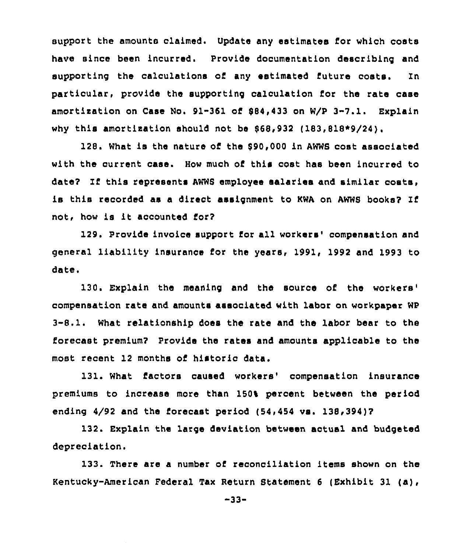support the amounts claimed. Update any estimates for which costs have since been incurred. Provide documentation describing and supporting the calculations of any estimated future costs. In particular, provide the supporting calculation for the rate case amortisation on case No. 91-361 of 884,433 on w/P 3-7.l. Explain why this amortisation should not be 868,932 ( 183,818\*9/24).

128. What is the nature of the 890,000 in AWWS cost associated with the current case. How much of this cost has been incurred to date? If this represents AWWS employee salaries and similar costs, is this recorded as a direct assignment to KWA on AWWS books? If not, how is it accounted for?

129. Provide invoice support for all workers'ompensation and general liability insurance for the years, 1991< 1992 and 1993 to date.

130. Explain the meaning and the source of the workers' rate and amounts associated with labor on workpaper WP 3-8.1. What relationship does the rate and the labor bear to the forecast premium? Provide the rates and amounts applicable to the most recent 12 months of historic data.

131. What factors caused workers' compensation insurance premiums to increase more than 1506 percent between the period ending  $4/92$  and the forecast period  $(54, 454$  vs.  $138, 394)$ ?

132. Explain the large deviation between actual and budgeted depreciation.

133. There are a number of reconciliation items shown on the Kentucky-American Federal Tax Return Statement <sup>6</sup> (Exhibit 31 (a),

 $-33-$